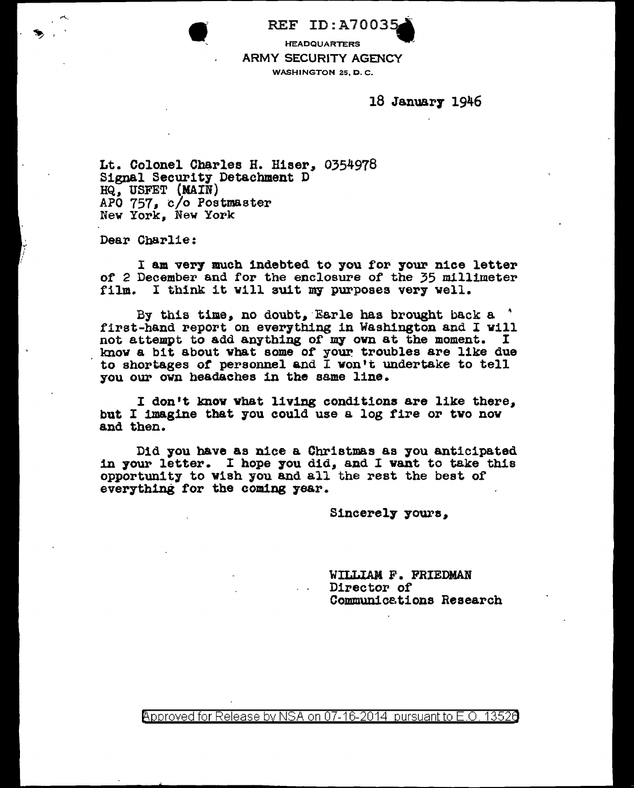REF ID:A7003!

**HEADQUARTERS** ARMY SECURITY AGENCY WASHINGTON 25, D. C.

18 Januar7 1946

Lt. Colonel Charles H. Hiser, 0354978 Signal Security Detachment D<br>HQ, USFET (MAIN) APO  $757$ , c/o Postmaster New York, New York

Dear Charlie:

I am very much indebted to you for your nice letter of 2 December and for the enclosure of the 35 millimeter film. I think it will suit my purposes very well.

By this time, no doubt, Earle has brought back a  $'$ first-hand report on everything in Washington and I vill not attempt to add anything of my own at the moment. I know a bit about what some of your troubles are like due to shortages or personnel and I won't undertake to tell you our own headaches in the same line.

I don't knov what living conditions are like there. but I imagine that you could use a log fire or two nov and then.

Did you have as nice a Christmas as you anticipated in your letter. I hope you did, and I want to take this opportunity to vish you and all the rest the best of everything for the coming 7ear.

Sincerely yours,

'WILLIAM F. FRIEDMAN Director of Communicstions Research

 $\rho$ pproved for Release by NSA on 07-16-2014 pursuant to E.O. 1352a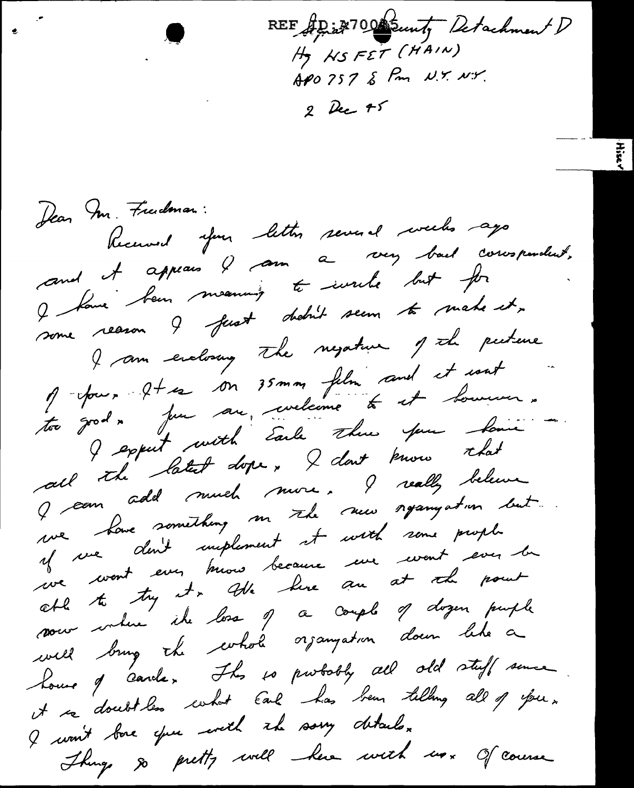REF AD in 100 Sunt, Detachment D APO 757 & Pm N.Y. N.Y.  $2$  Dec  $75$ 

Jean Im. Freedman: Received your letter several weeks ago and it appeais & ann a very bail correspondent, I have been meaning to write but for some reason ? fust dadn't seem to make it, I am enclosury the negative of the pecture of four 2+ es on 35 mm film and et cout I expect with Earle there you have all the batest dope, I dont know that J can add much nure. I really believe we have something me the new requirement if we dont implement et with some prophe de coast ever mois because une coast éver la sous votre il bos 9 a couple 9 dozen pueple will brug the corhole organization down like a house of carde, Ihr so purbobly all old stuff some it is doubtles what Each has been tilling all of you. I wan't back open with the savy details. Things so pretty will have with us. Of course

 $\bullet$